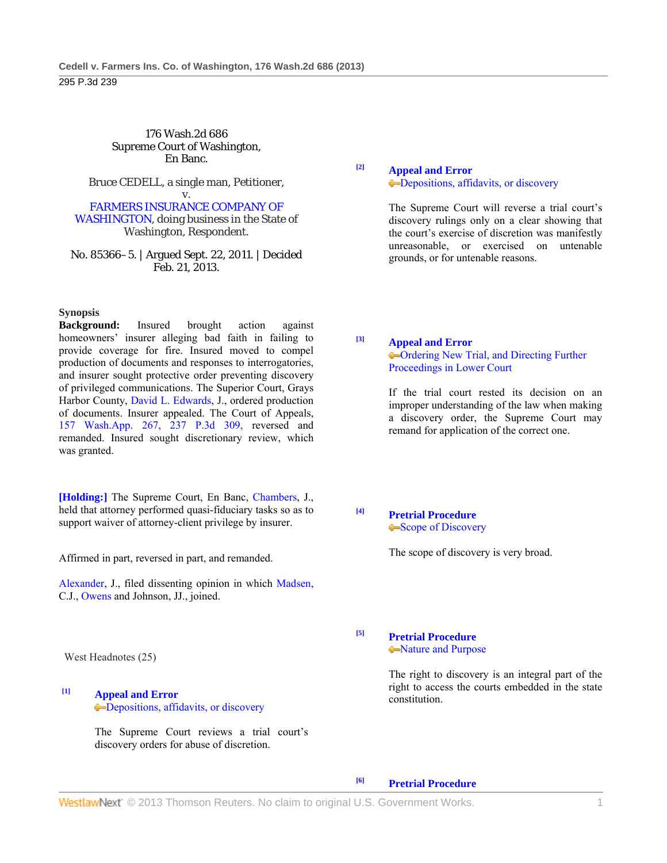#### 176 Wash.2d 686 Supreme Court of Washington, En Banc.

Bruce CEDELL, a single man, Petitioner,

#### v. FARMERS INSURANCE COMPANY OF WASHINGTON, doing business in the State of

Washington, Respondent.

No. 85366–5. | Argued Sept. 22, 2011. | Decided Feb. 21, 2013.

#### **Synopsis**

**Background:** Insured brought action against homeowners' insurer alleging bad faith in failing to provide coverage for fire. Insured moved to compel production of documents and responses to interrogatories, and insurer sought protective order preventing discovery of privileged communications. The Superior Court, Grays Harbor County, David L. Edwards, J., ordered production of documents. Insurer appealed. The Court of Appeals, 157 Wash.App. 267, 237 P.3d 309, reversed and remanded. Insured sought discretionary review, which was granted.

**[Holding:]** The Supreme Court, En Banc, Chambers, J., held that attorney performed quasi-fiduciary tasks so as to support waiver of attorney-client privilege by insurer.

Affirmed in part, reversed in part, and remanded.

Alexander, J., filed dissenting opinion in which Madsen, C.J., Owens and Johnson, JJ., joined.

West Headnotes (25)

## **[1] Appeal and Error** Depositions, affidavits, or discovery

 The Supreme Court reviews a trial court's discovery orders for abuse of discretion.

# **[2] Appeal and Error -Depositions, affidavits, or discovery**

 The Supreme Court will reverse a trial court's discovery rulings only on a clear showing that the court's exercise of discretion was manifestly unreasonable, or exercised on untenable grounds, or for untenable reasons.

# **[3] Appeal and Error**

Ordering New Trial, and Directing Further Proceedings in Lower Court

 If the trial court rested its decision on an improper understanding of the law when making a discovery order, the Supreme Court may remand for application of the correct one.

**[4] Pretrial Procedure** Scope of Discovery

The scope of discovery is very broad.

#### **[5] Pretrial Procedure** Nature and Purpose

 The right to discovery is an integral part of the right to access the courts embedded in the state constitution.

**[6] Pretrial Procedure**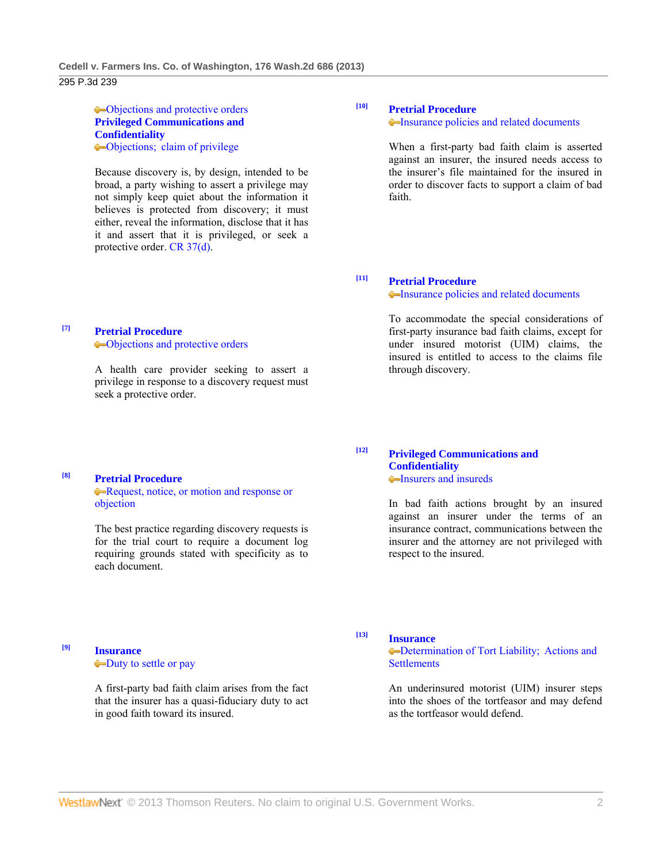#### Objections and protective orders **Privileged Communications and Confidentiality** Objections; claim of privilege

 Because discovery is, by design, intended to be broad, a party wishing to assert a privilege may not simply keep quiet about the information it believes is protected from discovery; it must either, reveal the information, disclose that it has it and assert that it is privileged, or seek a protective order. CR 37(d).

# **[7] Pretrial Procedure**

**[8] Pretrial Procedure**

each document.

objection

Objections and protective orders

 A health care provider seeking to assert a privilege in response to a discovery request must seek a protective order.

Request, notice, or motion and response or

 The best practice regarding discovery requests is for the trial court to require a document log requiring grounds stated with specificity as to

# **[10] Pretrial Procedure**

Insurance policies and related documents

 When a first-party bad faith claim is asserted against an insurer, the insured needs access to the insurer's file maintained for the insured in order to discover facts to support a claim of bad faith.

# **[11] Pretrial Procedure**

#### Insurance policies and related documents

 To accommodate the special considerations of first-party insurance bad faith claims, except for under insured motorist (UIM) claims, the insured is entitled to access to the claims file through discovery.

#### **[12] Privileged Communications and Confidentiality Insurers and insureds**

 In bad faith actions brought by an insured against an insurer under the terms of an insurance contract, communications between the insurer and the attorney are not privileged with respect to the insured.

## **[9] Insurance** Duty to settle or pay

 A first-party bad faith claim arises from the fact that the insurer has a quasi-fiduciary duty to act in good faith toward its insured.

# **[13] Insurance**

**••**Determination of Tort Liability; Actions and **Settlements** 

 An underinsured motorist (UIM) insurer steps into the shoes of the tortfeasor and may defend as the tortfeasor would defend.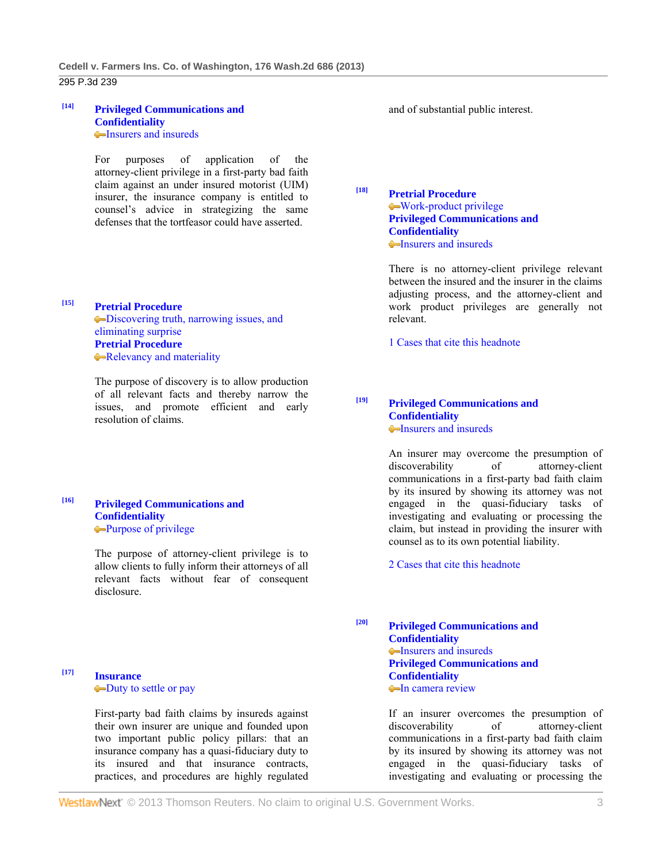#### **[14] Privileged Communications and Confidentiality Insurers and insureds**

 For purposes of application of the attorney-client privilege in a first-party bad faith claim against an under insured motorist (UIM) insurer, the insurance company is entitled to counsel's advice in strategizing the same defenses that the tortfeasor could have asserted.

**[15] Pretrial Procedure** Discovering truth, narrowing issues, and eliminating surprise **Pretrial Procedure Relevancy and materiality** 

> The purpose of discovery is to allow production of all relevant facts and thereby narrow the issues, and promote efficient and early resolution of claims.

**[16] Privileged Communications and Confidentiality** Purpose of privilege

> The purpose of attorney-client privilege is to allow clients to fully inform their attorneys of all relevant facts without fear of consequent disclosure.

# **[17] Insurance** Duty to settle or pay

 First-party bad faith claims by insureds against their own insurer are unique and founded upon two important public policy pillars: that an insurance company has a quasi-fiduciary duty to its insured and that insurance contracts, practices, and procedures are highly regulated and of substantial public interest.

**[18] Pretrial Procedure** Work-product privilege **Privileged Communications and Confidentiality** •Insurers and insureds

> There is no attorney-client privilege relevant between the insured and the insurer in the claims adjusting process, and the attorney-client and work product privileges are generally not relevant.

1 Cases that cite this headnote

**[19] Privileged Communications and Confidentiality Insurers and insureds** 

> An insurer may overcome the presumption of discoverability of attorney-client communications in a first-party bad faith claim by its insured by showing its attorney was not engaged in the quasi-fiduciary tasks of investigating and evaluating or processing the claim, but instead in providing the insurer with counsel as to its own potential liability.

2 Cases that cite this headnote

**[20] Privileged Communications and Confidentiality Insurers and insureds Privileged Communications and Confidentiality In camera review** 

> If an insurer overcomes the presumption of discoverability of attorney-client communications in a first-party bad faith claim by its insured by showing its attorney was not engaged in the quasi-fiduciary tasks of investigating and evaluating or processing the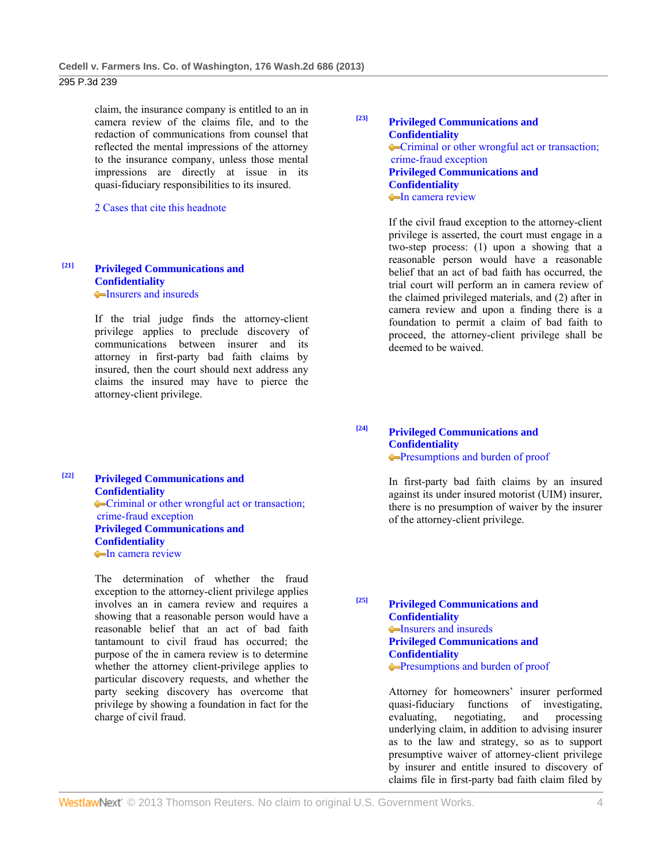claim, the insurance company is entitled to an in camera review of the claims file, and to the redaction of communications from counsel that reflected the mental impressions of the attorney to the insurance company, unless those mental impressions are directly at issue in its quasi-fiduciary responsibilities to its insured.

2 Cases that cite this headnote

## **[21] Privileged Communications and Confidentiality Insurers and insureds**

 If the trial judge finds the attorney-client privilege applies to preclude discovery of communications between insurer and its attorney in first-party bad faith claims by insured, then the court should next address any claims the insured may have to pierce the attorney-client privilege.

**[22] Privileged Communications and Confidentiality** Criminal or other wrongful act or transaction; crime-fraud exception **Privileged Communications and Confidentiality In camera review** 

> The determination of whether the fraud exception to the attorney-client privilege applies involves an in camera review and requires a showing that a reasonable person would have a reasonable belief that an act of bad faith tantamount to civil fraud has occurred; the purpose of the in camera review is to determine whether the attorney client-privilege applies to particular discovery requests, and whether the party seeking discovery has overcome that privilege by showing a foundation in fact for the charge of civil fraud.

# **[23] Privileged Communications and Confidentiality** • Criminal or other wrongful act or transaction; crime-fraud exception **Privileged Communications and Confidentiality In camera review**

 If the civil fraud exception to the attorney-client privilege is asserted, the court must engage in a two-step process: (1) upon a showing that a reasonable person would have a reasonable belief that an act of bad faith has occurred, the trial court will perform an in camera review of the claimed privileged materials, and (2) after in camera review and upon a finding there is a foundation to permit a claim of bad faith to proceed, the attorney-client privilege shall be deemed to be waived.

**[24] Privileged Communications and Confidentiality** Presumptions and burden of proof

> In first-party bad faith claims by an insured against its under insured motorist (UIM) insurer, there is no presumption of waiver by the insurer of the attorney-client privilege.

**[25] Privileged Communications and Confidentiality** Insurers and insureds **Privileged Communications and Confidentiality** Presumptions and burden of proof

> Attorney for homeowners' insurer performed quasi-fiduciary functions of investigating, evaluating, negotiating, and processing underlying claim, in addition to advising insurer as to the law and strategy, so as to support presumptive waiver of attorney-client privilege by insurer and entitle insured to discovery of claims file in first-party bad faith claim filed by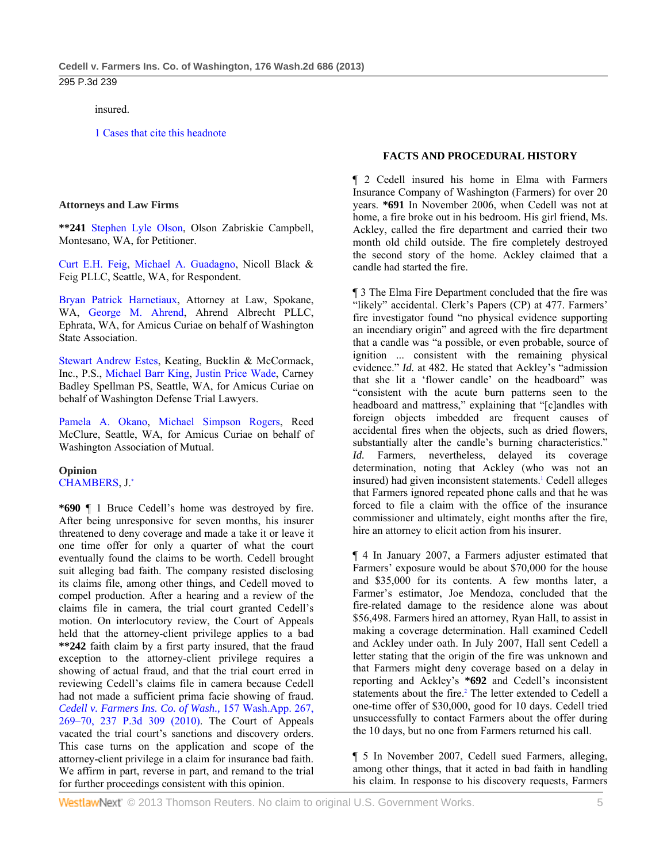#### insured.

1 Cases that cite this headnote

#### **Attorneys and Law Firms**

**\*\*241** Stephen Lyle Olson, Olson Zabriskie Campbell, Montesano, WA, for Petitioner.

Curt E.H. Feig, Michael A. Guadagno, Nicoll Black & Feig PLLC, Seattle, WA, for Respondent.

Bryan Patrick Harnetiaux, Attorney at Law, Spokane, WA, George M. Ahrend, Ahrend Albrecht PLLC, Ephrata, WA, for Amicus Curiae on behalf of Washington State Association.

Stewart Andrew Estes, Keating, Bucklin & McCormack, Inc., P.S., Michael Barr King, Justin Price Wade, Carney Badley Spellman PS, Seattle, WA, for Amicus Curiae on behalf of Washington Defense Trial Lawyers.

Pamela A. Okano, Michael Simpson Rogers, Reed McClure, Seattle, WA, for Amicus Curiae on behalf of Washington Association of Mutual.

**Opinion**  CHAMBERS, J.\*

**\*690** ¶ 1 Bruce Cedell's home was destroyed by fire. After being unresponsive for seven months, his insurer threatened to deny coverage and made a take it or leave it one time offer for only a quarter of what the court eventually found the claims to be worth. Cedell brought suit alleging bad faith. The company resisted disclosing its claims file, among other things, and Cedell moved to compel production. After a hearing and a review of the claims file in camera, the trial court granted Cedell's motion. On interlocutory review, the Court of Appeals held that the attorney-client privilege applies to a bad **\*\*242** faith claim by a first party insured, that the fraud exception to the attorney-client privilege requires a showing of actual fraud, and that the trial court erred in reviewing Cedell's claims file in camera because Cedell had not made a sufficient prima facie showing of fraud. *Cedell v. Farmers Ins. Co. of Wash.,* 157 Wash.App. 267, 269–70, 237 P.3d 309 (2010). The Court of Appeals vacated the trial court's sanctions and discovery orders. This case turns on the application and scope of the attorney-client privilege in a claim for insurance bad faith. We affirm in part, reverse in part, and remand to the trial for further proceedings consistent with this opinion.

## **FACTS AND PROCEDURAL HISTORY**

¶ 2 Cedell insured his home in Elma with Farmers Insurance Company of Washington (Farmers) for over 20 years. **\*691** In November 2006, when Cedell was not at home, a fire broke out in his bedroom. His girl friend, Ms. Ackley, called the fire department and carried their two month old child outside. The fire completely destroyed the second story of the home. Ackley claimed that a candle had started the fire.

¶ 3 The Elma Fire Department concluded that the fire was "likely" accidental. Clerk's Papers (CP) at 477. Farmers' fire investigator found "no physical evidence supporting an incendiary origin" and agreed with the fire department that a candle was "a possible, or even probable, source of ignition ... consistent with the remaining physical evidence." *Id.* at 482. He stated that Ackley's "admission that she lit a 'flower candle' on the headboard" was "consistent with the acute burn patterns seen to the headboard and mattress," explaining that "[c]andles with foreign objects imbedded are frequent causes of accidental fires when the objects, such as dried flowers, substantially alter the candle's burning characteristics." Id. Farmers, nevertheless, delayed its coverage determination, noting that Ackley (who was not an insured) had given inconsistent statements.<sup>1</sup> Cedell alleges that Farmers ignored repeated phone calls and that he was forced to file a claim with the office of the insurance commissioner and ultimately, eight months after the fire, hire an attorney to elicit action from his insurer.

¶ 4 In January 2007, a Farmers adjuster estimated that Farmers' exposure would be about \$70,000 for the house and \$35,000 for its contents. A few months later, a Farmer's estimator, Joe Mendoza, concluded that the fire-related damage to the residence alone was about \$56,498. Farmers hired an attorney, Ryan Hall, to assist in making a coverage determination. Hall examined Cedell and Ackley under oath. In July 2007, Hall sent Cedell a letter stating that the origin of the fire was unknown and that Farmers might deny coverage based on a delay in reporting and Ackley's **\*692** and Cedell's inconsistent statements about the fire.<sup>2</sup> The letter extended to Cedell a one-time offer of \$30,000, good for 10 days. Cedell tried unsuccessfully to contact Farmers about the offer during the 10 days, but no one from Farmers returned his call.

¶ 5 In November 2007, Cedell sued Farmers, alleging, among other things, that it acted in bad faith in handling his claim. In response to his discovery requests, Farmers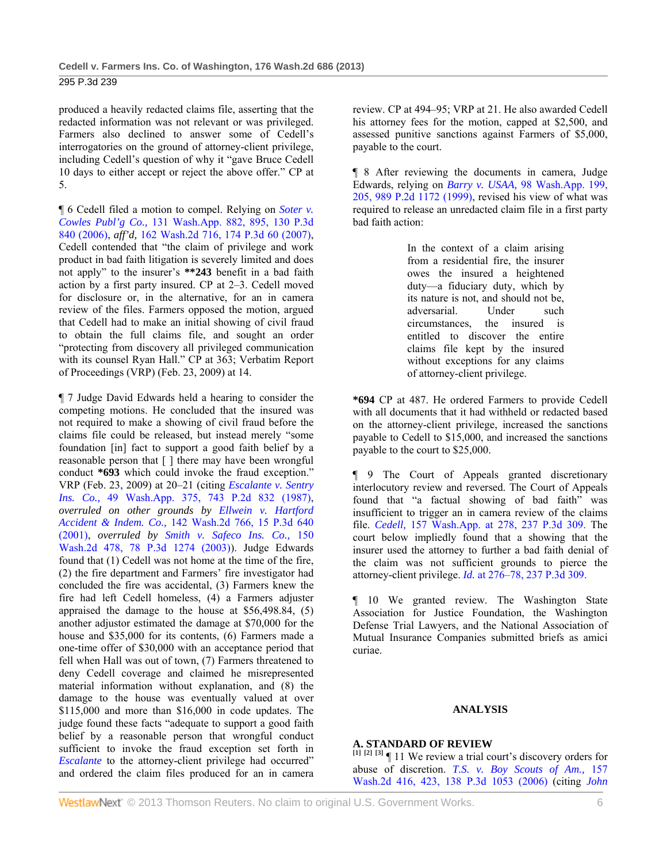produced a heavily redacted claims file, asserting that the redacted information was not relevant or was privileged. Farmers also declined to answer some of Cedell's interrogatories on the ground of attorney-client privilege, including Cedell's question of why it "gave Bruce Cedell 10 days to either accept or reject the above offer." CP at 5.

¶ 6 Cedell filed a motion to compel. Relying on *Soter v. Cowles Publ'g Co.,* 131 Wash.App. 882, 895, 130 P.3d 840 (2006), *aff'd,* 162 Wash.2d 716, 174 P.3d 60 (2007), Cedell contended that "the claim of privilege and work product in bad faith litigation is severely limited and does not apply" to the insurer's **\*\*243** benefit in a bad faith action by a first party insured. CP at 2–3. Cedell moved for disclosure or, in the alternative, for an in camera review of the files. Farmers opposed the motion, argued that Cedell had to make an initial showing of civil fraud to obtain the full claims file, and sought an order "protecting from discovery all privileged communication with its counsel Ryan Hall." CP at 363; Verbatim Report of Proceedings (VRP) (Feb. 23, 2009) at 14.

¶ 7 Judge David Edwards held a hearing to consider the competing motions. He concluded that the insured was not required to make a showing of civil fraud before the claims file could be released, but instead merely "some foundation [in] fact to support a good faith belief by a reasonable person that [ ] there may have been wrongful conduct **\*693** which could invoke the fraud exception." VRP (Feb. 23, 2009) at 20–21 (citing *Escalante v. Sentry Ins. Co.,* 49 Wash.App. 375, 743 P.2d 832 (1987), *overruled on other grounds by Ellwein v. Hartford Accident & Indem. Co.,* 142 Wash.2d 766, 15 P.3d 640 (2001), *overruled by Smith v. Safeco Ins. Co.,* 150 Wash.2d 478, 78 P.3d 1274 (2003)). Judge Edwards found that (1) Cedell was not home at the time of the fire, (2) the fire department and Farmers' fire investigator had concluded the fire was accidental, (3) Farmers knew the fire had left Cedell homeless, (4) a Farmers adjuster appraised the damage to the house at \$56,498.84, (5) another adjustor estimated the damage at \$70,000 for the house and \$35,000 for its contents, (6) Farmers made a one-time offer of \$30,000 with an acceptance period that fell when Hall was out of town, (7) Farmers threatened to deny Cedell coverage and claimed he misrepresented material information without explanation, and (8) the damage to the house was eventually valued at over \$115,000 and more than \$16,000 in code updates. The judge found these facts "adequate to support a good faith belief by a reasonable person that wrongful conduct sufficient to invoke the fraud exception set forth in *Escalante* to the attorney-client privilege had occurred" and ordered the claim files produced for an in camera

review. CP at 494–95; VRP at 21. He also awarded Cedell his attorney fees for the motion, capped at \$2,500, and assessed punitive sanctions against Farmers of \$5,000, payable to the court.

¶ 8 After reviewing the documents in camera, Judge Edwards, relying on *Barry v. USAA,* 98 Wash.App. 199, 205, 989 P.2d 1172 (1999), revised his view of what was required to release an unredacted claim file in a first party bad faith action:

> In the context of a claim arising from a residential fire, the insurer owes the insured a heightened duty—a fiduciary duty, which by its nature is not, and should not be, adversarial. Under such circumstances, the insured is entitled to discover the entire claims file kept by the insured without exceptions for any claims of attorney-client privilege.

**\*694** CP at 487. He ordered Farmers to provide Cedell with all documents that it had withheld or redacted based on the attorney-client privilege, increased the sanctions payable to Cedell to \$15,000, and increased the sanctions payable to the court to \$25,000.

¶ 9 The Court of Appeals granted discretionary interlocutory review and reversed. The Court of Appeals found that "a factual showing of bad faith" was insufficient to trigger an in camera review of the claims file. *Cedell,* 157 Wash.App. at 278, 237 P.3d 309. The court below impliedly found that a showing that the insurer used the attorney to further a bad faith denial of the claim was not sufficient grounds to pierce the attorney-client privilege. *Id.* at 276–78, 237 P.3d 309.

¶ 10 We granted review. The Washington State Association for Justice Foundation, the Washington Defense Trial Lawyers, and the National Association of Mutual Insurance Companies submitted briefs as amici curiae.

#### **ANALYSIS**

# **A. STANDARD OF REVIEW**

**[1] [2] [3]** ¶ 11 We review a trial court's discovery orders for abuse of discretion. *T.S. v. Boy Scouts of Am.,* 157 Wash.2d 416, 423, 138 P.3d 1053 (2006) (citing *John*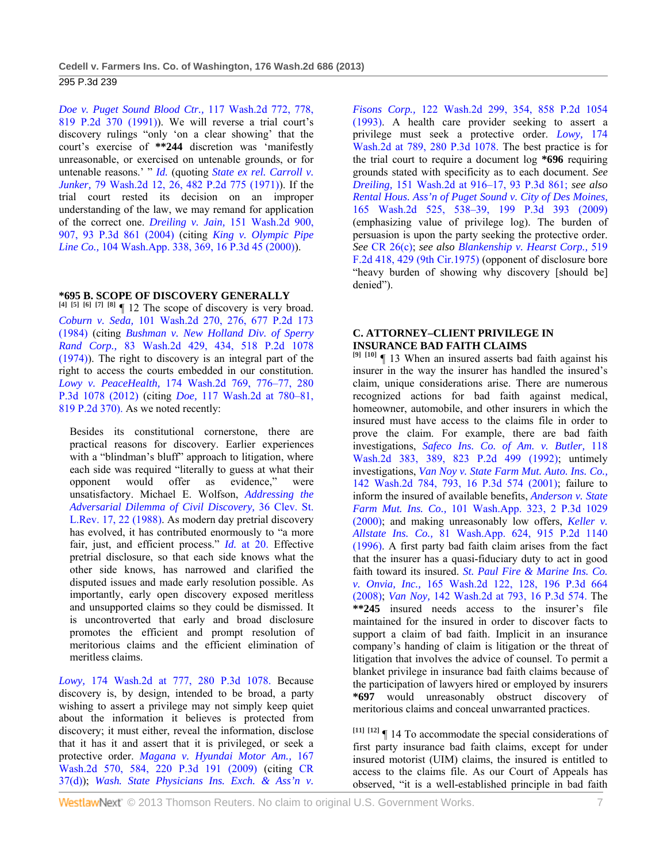*Doe v. Puget Sound Blood Ctr.,* 117 Wash.2d 772, 778, 819 P.2d 370 (1991)). We will reverse a trial court's discovery rulings "only 'on a clear showing' that the court's exercise of **\*\*244** discretion was 'manifestly unreasonable, or exercised on untenable grounds, or for untenable reasons.' " *Id.* (quoting *State ex rel. Carroll v. Junker,* 79 Wash.2d 12, 26, 482 P.2d 775 (1971)). If the trial court rested its decision on an improper understanding of the law, we may remand for application of the correct one. *Dreiling v. Jain,* 151 Wash.2d 900, 907, 93 P.3d 861 (2004) (citing *King v. Olympic Pipe Line Co.,* 104 Wash.App. 338, 369, 16 P.3d 45 (2000)).

## **\*695 B. SCOPE OF DISCOVERY GENERALLY**

**[4] [5] [6] [7] [8]** ¶ 12 The scope of discovery is very broad. *Coburn v. Seda,* 101 Wash.2d 270, 276, 677 P.2d 173 (1984) (citing *Bushman v. New Holland Div. of Sperry Rand Corp.,* 83 Wash.2d 429, 434, 518 P.2d 1078 (1974)). The right to discovery is an integral part of the right to access the courts embedded in our constitution. *Lowy v. PeaceHealth,* 174 Wash.2d 769, 776–77, 280 P.3d 1078 (2012) (citing *Doe,* 117 Wash.2d at 780–81, 819 P.2d 370). As we noted recently:

Besides its constitutional cornerstone, there are practical reasons for discovery. Earlier experiences with a "blindman's bluff" approach to litigation, where each side was required "literally to guess at what their opponent would offer as evidence," were unsatisfactory. Michael E. Wolfson, *Addressing the Adversarial Dilemma of Civil Discovery,* 36 Clev. St. L.Rev. 17, 22 (1988). As modern day pretrial discovery has evolved, it has contributed enormously to "a more fair, just, and efficient process." *Id.* at 20. Effective pretrial disclosure, so that each side knows what the other side knows, has narrowed and clarified the disputed issues and made early resolution possible. As importantly, early open discovery exposed meritless and unsupported claims so they could be dismissed. It is uncontroverted that early and broad disclosure promotes the efficient and prompt resolution of meritorious claims and the efficient elimination of meritless claims.

*Lowy,* 174 Wash.2d at 777, 280 P.3d 1078. Because discovery is, by design, intended to be broad, a party wishing to assert a privilege may not simply keep quiet about the information it believes is protected from discovery; it must either, reveal the information, disclose that it has it and assert that it is privileged, or seek a protective order. *Magana v. Hyundai Motor Am.,* 167 Wash.2d 570, 584, 220 P.3d 191 (2009) (citing CR 37(d)); *Wash. State Physicians Ins. Exch. & Ass'n v.* 

*Fisons Corp.,* 122 Wash.2d 299, 354, 858 P.2d 1054 (1993). A health care provider seeking to assert a privilege must seek a protective order. *Lowy,* 174 Wash.2d at 789, 280 P.3d 1078. The best practice is for the trial court to require a document log **\*696** requiring grounds stated with specificity as to each document. *See Dreiling,* 151 Wash.2d at 916–17, 93 P.3d 861; *see also Rental Hous. Ass'n of Puget Sound v. City of Des Moines,* 165 Wash.2d 525, 538–39, 199 P.3d 393 (2009) (emphasizing value of privilege log). The burden of persuasion is upon the party seeking the protective order. *See* CR 26(c); *see also Blankenship v. Hearst Corp.,* 519 F.2d 418, 429 (9th Cir.1975) (opponent of disclosure bore "heavy burden of showing why discovery [should be] denied").

# **C. ATTORNEY–CLIENT PRIVILEGE IN INSURANCE BAD FAITH CLAIMS**

**[9] [10]** ¶ 13 When an insured asserts bad faith against his insurer in the way the insurer has handled the insured's claim, unique considerations arise. There are numerous recognized actions for bad faith against medical, homeowner, automobile, and other insurers in which the insured must have access to the claims file in order to prove the claim. For example, there are bad faith investigations, *Safeco Ins. Co. of Am. v. Butler,* 118 Wash.2d 383, 389, 823 P.2d 499 (1992); untimely investigations, *Van Noy v. State Farm Mut. Auto. Ins. Co.,* 142 Wash.2d 784, 793, 16 P.3d 574 (2001); failure to inform the insured of available benefits, *Anderson v. State Farm Mut. Ins. Co.,* 101 Wash.App. 323, 2 P.3d 1029 (2000); and making unreasonably low offers, *Keller v. Allstate Ins. Co.,* 81 Wash.App. 624, 915 P.2d 1140 (1996). A first party bad faith claim arises from the fact that the insurer has a quasi-fiduciary duty to act in good faith toward its insured. *St. Paul Fire & Marine Ins. Co. v. Onvia, Inc.,* 165 Wash.2d 122, 128, 196 P.3d 664 (2008); *Van Noy,* 142 Wash.2d at 793, 16 P.3d 574. The **\*\*245** insured needs access to the insurer's file maintained for the insured in order to discover facts to support a claim of bad faith. Implicit in an insurance company's handing of claim is litigation or the threat of litigation that involves the advice of counsel. To permit a blanket privilege in insurance bad faith claims because of the participation of lawyers hired or employed by insurers **\*697** would unreasonably obstruct discovery of meritorious claims and conceal unwarranted practices.

**[11] [12]** ¶ 14 To accommodate the special considerations of first party insurance bad faith claims, except for under insured motorist (UIM) claims, the insured is entitled to access to the claims file. As our Court of Appeals has observed, "it is a well-established principle in bad faith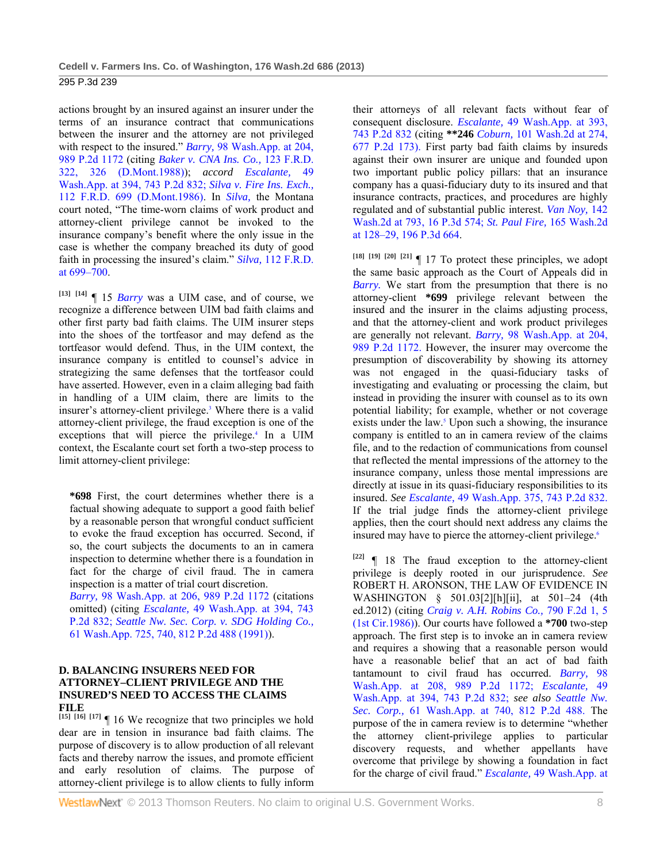actions brought by an insured against an insurer under the terms of an insurance contract that communications between the insurer and the attorney are not privileged with respect to the insured." *Barry,* 98 Wash.App. at 204, 989 P.2d 1172 (citing *Baker v. CNA Ins. Co.,* 123 F.R.D. 322, 326 (D.Mont.1988)); *accord Escalante,* 49 Wash.App. at 394, 743 P.2d 832; *Silva v. Fire Ins. Exch.,* 112 F.R.D. 699 (D.Mont.1986). In *Silva,* the Montana court noted, "The time-worn claims of work product and attorney-client privilege cannot be invoked to the insurance company's benefit where the only issue in the case is whether the company breached its duty of good faith in processing the insured's claim." *Silva,* 112 F.R.D. at 699–700.

**[13] [14]** ¶ 15 *Barry* was a UIM case, and of course, we recognize a difference between UIM bad faith claims and other first party bad faith claims. The UIM insurer steps into the shoes of the tortfeasor and may defend as the tortfeasor would defend. Thus, in the UIM context, the insurance company is entitled to counsel's advice in strategizing the same defenses that the tortfeasor could have asserted. However, even in a claim alleging bad faith in handling of a UIM claim, there are limits to the insurer's attorney-client privilege.<sup>3</sup> Where there is a valid attorney-client privilege, the fraud exception is one of the exceptions that will pierce the privilege.<sup>4</sup> In a UIM context, the Escalante court set forth a two-step process to limit attorney-client privilege:

**\*698** First, the court determines whether there is a factual showing adequate to support a good faith belief by a reasonable person that wrongful conduct sufficient to evoke the fraud exception has occurred. Second, if so, the court subjects the documents to an in camera inspection to determine whether there is a foundation in fact for the charge of civil fraud. The in camera inspection is a matter of trial court discretion.

*Barry,* 98 Wash.App. at 206, 989 P.2d 1172 (citations omitted) (citing *Escalante,* 49 Wash.App. at 394, 743 P.2d 832; *Seattle Nw. Sec. Corp. v. SDG Holding Co.,* 61 Wash.App. 725, 740, 812 P.2d 488 (1991)).

# **D. BALANCING INSURERS NEED FOR ATTORNEY–CLIENT PRIVILEGE AND THE INSURED'S NEED TO ACCESS THE CLAIMS FILE**

**[15] [16] [17]** ¶ 16 We recognize that two principles we hold dear are in tension in insurance bad faith claims. The purpose of discovery is to allow production of all relevant facts and thereby narrow the issues, and promote efficient and early resolution of claims. The purpose of attorney-client privilege is to allow clients to fully inform

their attorneys of all relevant facts without fear of consequent disclosure. *Escalante,* 49 Wash.App. at 393, 743 P.2d 832 (citing **\*\*246** *Coburn,* 101 Wash.2d at 274, 677 P.2d 173). First party bad faith claims by insureds against their own insurer are unique and founded upon two important public policy pillars: that an insurance company has a quasi-fiduciary duty to its insured and that insurance contracts, practices, and procedures are highly regulated and of substantial public interest. *Van Noy,* 142 Wash.2d at 793, 16 P.3d 574; *St. Paul Fire,* 165 Wash.2d at 128–29, 196 P.3d 664.

 $[18]$   $[19]$   $[20]$   $[21]$   $[17]$  To protect these principles, we adopt the same basic approach as the Court of Appeals did in *Barry.* We start from the presumption that there is no attorney-client **\*699** privilege relevant between the insured and the insurer in the claims adjusting process, and that the attorney-client and work product privileges are generally not relevant. *Barry,* 98 Wash.App. at 204, 989 P.2d 1172. However, the insurer may overcome the presumption of discoverability by showing its attorney was not engaged in the quasi-fiduciary tasks of investigating and evaluating or processing the claim, but instead in providing the insurer with counsel as to its own potential liability; for example, whether or not coverage exists under the law.<sup>5</sup> Upon such a showing, the insurance company is entitled to an in camera review of the claims file, and to the redaction of communications from counsel that reflected the mental impressions of the attorney to the insurance company, unless those mental impressions are directly at issue in its quasi-fiduciary responsibilities to its insured. *See Escalante,* 49 Wash.App. 375, 743 P.2d 832. If the trial judge finds the attorney-client privilege applies, then the court should next address any claims the insured may have to pierce the attorney-client privilege.<sup>6</sup>

**[22]** ¶ 18 The fraud exception to the attorney-client privilege is deeply rooted in our jurisprudence. *See* ROBERT H. ARONSON, THE LAW OF EVIDENCE IN WASHINGTON § 501.03[2][h][ii], at 501–24 (4th ed.2012) (citing *Craig v. A.H. Robins Co.,* 790 F.2d 1, 5 (1st Cir.1986)). Our courts have followed a **\*700** two-step approach. The first step is to invoke an in camera review and requires a showing that a reasonable person would have a reasonable belief that an act of bad faith tantamount to civil fraud has occurred. *Barry,* 98 Wash.App. at 208, 989 P.2d 1172; *Escalante,* 49 Wash.App. at 394, 743 P.2d 832; *see also Seattle Nw. Sec. Corp.,* 61 Wash.App. at 740, 812 P.2d 488. The purpose of the in camera review is to determine "whether the attorney client-privilege applies to particular discovery requests, and whether appellants have overcome that privilege by showing a foundation in fact for the charge of civil fraud." *Escalante,* 49 Wash.App. at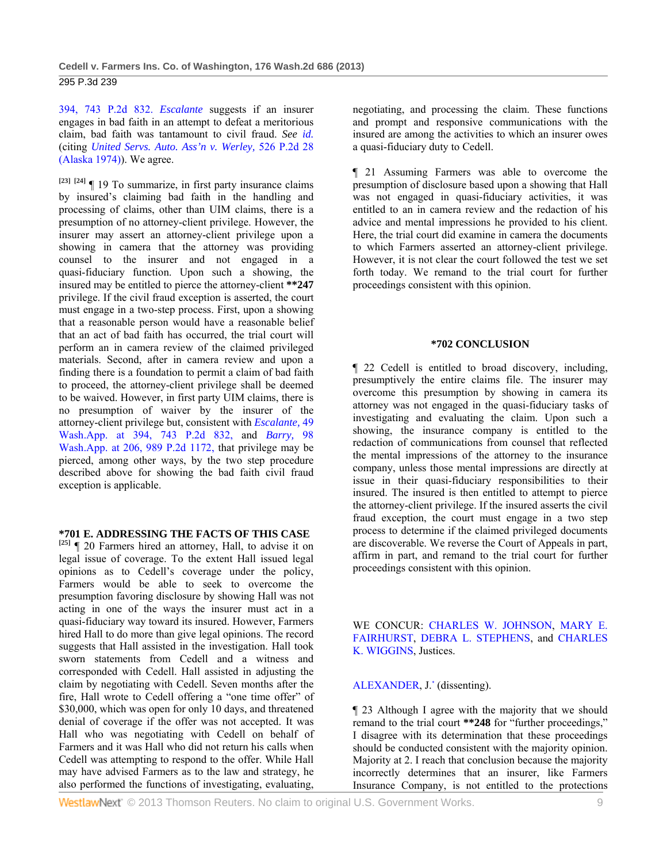394, 743 P.2d 832. *Escalante* suggests if an insurer engages in bad faith in an attempt to defeat a meritorious claim, bad faith was tantamount to civil fraud. *See id.* (citing *United Servs. Auto. Ass'n v. Werley,* 526 P.2d 28 (Alaska 1974)). We agree.

**[23] [24]** ¶ 19 To summarize, in first party insurance claims by insured's claiming bad faith in the handling and processing of claims, other than UIM claims, there is a presumption of no attorney-client privilege. However, the insurer may assert an attorney-client privilege upon a showing in camera that the attorney was providing counsel to the insurer and not engaged in a quasi-fiduciary function. Upon such a showing, the insured may be entitled to pierce the attorney-client **\*\*247** privilege. If the civil fraud exception is asserted, the court must engage in a two-step process. First, upon a showing that a reasonable person would have a reasonable belief that an act of bad faith has occurred, the trial court will perform an in camera review of the claimed privileged materials. Second, after in camera review and upon a finding there is a foundation to permit a claim of bad faith to proceed, the attorney-client privilege shall be deemed to be waived. However, in first party UIM claims, there is no presumption of waiver by the insurer of the attorney-client privilege but, consistent with *Escalante,* 49 Wash.App. at 394, 743 P.2d 832, and *Barry,* 98 Wash.App. at 206, 989 P.2d 1172, that privilege may be pierced, among other ways, by the two step procedure described above for showing the bad faith civil fraud exception is applicable.

## **\*701 E. ADDRESSING THE FACTS OF THIS CASE**

**[25]** ¶ 20 Farmers hired an attorney, Hall, to advise it on legal issue of coverage. To the extent Hall issued legal opinions as to Cedell's coverage under the policy, Farmers would be able to seek to overcome the presumption favoring disclosure by showing Hall was not acting in one of the ways the insurer must act in a quasi-fiduciary way toward its insured. However, Farmers hired Hall to do more than give legal opinions. The record suggests that Hall assisted in the investigation. Hall took sworn statements from Cedell and a witness and corresponded with Cedell. Hall assisted in adjusting the claim by negotiating with Cedell. Seven months after the fire, Hall wrote to Cedell offering a "one time offer" of \$30,000, which was open for only 10 days, and threatened denial of coverage if the offer was not accepted. It was Hall who was negotiating with Cedell on behalf of Farmers and it was Hall who did not return his calls when Cedell was attempting to respond to the offer. While Hall may have advised Farmers as to the law and strategy, he also performed the functions of investigating, evaluating,

negotiating, and processing the claim. These functions and prompt and responsive communications with the insured are among the activities to which an insurer owes a quasi-fiduciary duty to Cedell.

¶ 21 Assuming Farmers was able to overcome the presumption of disclosure based upon a showing that Hall was not engaged in quasi-fiduciary activities, it was entitled to an in camera review and the redaction of his advice and mental impressions he provided to his client. Here, the trial court did examine in camera the documents to which Farmers asserted an attorney-client privilege. However, it is not clear the court followed the test we set forth today. We remand to the trial court for further proceedings consistent with this opinion.

#### **\*702 CONCLUSION**

¶ 22 Cedell is entitled to broad discovery, including, presumptively the entire claims file. The insurer may overcome this presumption by showing in camera its attorney was not engaged in the quasi-fiduciary tasks of investigating and evaluating the claim. Upon such a showing, the insurance company is entitled to the redaction of communications from counsel that reflected the mental impressions of the attorney to the insurance company, unless those mental impressions are directly at issue in their quasi-fiduciary responsibilities to their insured. The insured is then entitled to attempt to pierce the attorney-client privilege. If the insured asserts the civil fraud exception, the court must engage in a two step process to determine if the claimed privileged documents are discoverable. We reverse the Court of Appeals in part, affirm in part, and remand to the trial court for further proceedings consistent with this opinion.

WE CONCUR: CHARLES W. JOHNSON, MARY E. FAIRHURST, DEBRA L. STEPHENS, and CHARLES K. WIGGINS, Justices.

ALEXANDER, J.\* (dissenting).

¶ 23 Although I agree with the majority that we should remand to the trial court **\*\*248** for "further proceedings," I disagree with its determination that these proceedings should be conducted consistent with the majority opinion. Majority at 2. I reach that conclusion because the majority incorrectly determines that an insurer, like Farmers Insurance Company, is not entitled to the protections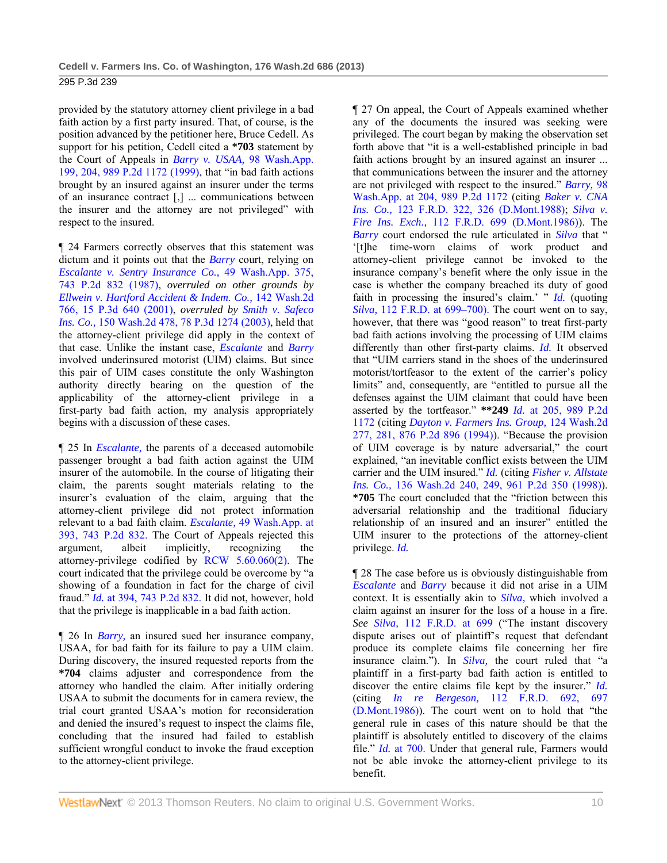provided by the statutory attorney client privilege in a bad faith action by a first party insured. That, of course, is the position advanced by the petitioner here, Bruce Cedell. As support for his petition, Cedell cited a **\*703** statement by the Court of Appeals in *Barry v. USAA,* 98 Wash.App. 199, 204, 989 P.2d 1172 (1999), that "in bad faith actions brought by an insured against an insurer under the terms of an insurance contract [,] ... communications between the insurer and the attorney are not privileged" with respect to the insured.

¶ 24 Farmers correctly observes that this statement was dictum and it points out that the *Barry* court, relying on *Escalante v. Sentry Insurance Co.,* 49 Wash.App. 375, 743 P.2d 832 (1987), *overruled on other grounds by Ellwein v. Hartford Accident & Indem. Co.,* 142 Wash.2d 766, 15 P.3d 640 (2001), *overruled by Smith v. Safeco Ins. Co.,* 150 Wash.2d 478, 78 P.3d 1274 (2003), held that the attorney-client privilege did apply in the context of that case. Unlike the instant case, *Escalante* and *Barry* involved underinsured motorist (UIM) claims. But since this pair of UIM cases constitute the only Washington authority directly bearing on the question of the applicability of the attorney-client privilege in a first-party bad faith action, my analysis appropriately begins with a discussion of these cases.

¶ 25 In *Escalante,* the parents of a deceased automobile passenger brought a bad faith action against the UIM insurer of the automobile. In the course of litigating their claim, the parents sought materials relating to the insurer's evaluation of the claim, arguing that the attorney-client privilege did not protect information relevant to a bad faith claim. *Escalante,* 49 Wash.App. at 393, 743 P.2d 832. The Court of Appeals rejected this argument, albeit implicitly, recognizing the attorney-privilege codified by RCW 5.60.060(2). The court indicated that the privilege could be overcome by "a showing of a foundation in fact for the charge of civil fraud." *Id.* at 394, 743 P.2d 832. It did not, however, hold that the privilege is inapplicable in a bad faith action.

¶ 26 In *Barry,* an insured sued her insurance company, USAA, for bad faith for its failure to pay a UIM claim. During discovery, the insured requested reports from the **\*704** claims adjuster and correspondence from the attorney who handled the claim. After initially ordering USAA to submit the documents for in camera review, the trial court granted USAA's motion for reconsideration and denied the insured's request to inspect the claims file, concluding that the insured had failed to establish sufficient wrongful conduct to invoke the fraud exception to the attorney-client privilege.

¶ 27 On appeal, the Court of Appeals examined whether any of the documents the insured was seeking were privileged. The court began by making the observation set forth above that "it is a well-established principle in bad faith actions brought by an insured against an insurer ... that communications between the insurer and the attorney are not privileged with respect to the insured." *Barry,* 98 Wash.App. at 204, 989 P.2d 1172 (citing *Baker v. CNA Ins. Co.,* 123 F.R.D. 322, 326 (D.Mont.1988); *Silva v. Fire Ins. Exch.,* 112 F.R.D. 699 (D.Mont.1986)). The *Barry* court endorsed the rule articulated in *Silva* that " '[t]he time-worn claims of work product and attorney-client privilege cannot be invoked to the insurance company's benefit where the only issue in the case is whether the company breached its duty of good faith in processing the insured's claim.' " *Id.* (quoting *Silva,* 112 F.R.D. at 699–700). The court went on to say, however, that there was "good reason" to treat first-party bad faith actions involving the processing of UIM claims differently than other first-party claims. *Id.* It observed that "UIM carriers stand in the shoes of the underinsured motorist/tortfeasor to the extent of the carrier's policy limits" and, consequently, are "entitled to pursue all the defenses against the UIM claimant that could have been asserted by the tortfeasor." **\*\*249** *Id.* at 205, 989 P.2d 1172 (citing *Dayton v. Farmers Ins. Group,* 124 Wash.2d 277, 281, 876 P.2d 896 (1994)). "Because the provision of UIM coverage is by nature adversarial," the court explained, "an inevitable conflict exists between the UIM carrier and the UIM insured." *Id.* (citing *Fisher v. Allstate Ins. Co.,* 136 Wash.2d 240, 249, 961 P.2d 350 (1998)). **\*705** The court concluded that the "friction between this adversarial relationship and the traditional fiduciary relationship of an insured and an insurer" entitled the UIM insurer to the protections of the attorney-client privilege. *Id.*

¶ 28 The case before us is obviously distinguishable from *Escalante* and *Barry* because it did not arise in a UIM context. It is essentially akin to *Silva,* which involved a claim against an insurer for the loss of a house in a fire. *See Silva,* 112 F.R.D. at 699 ("The instant discovery dispute arises out of plaintiff's request that defendant produce its complete claims file concerning her fire insurance claim."). In *Silva,* the court ruled that "a plaintiff in a first-party bad faith action is entitled to discover the entire claims file kept by the insurer." *Id.* (citing *In re Bergeson,* 112 F.R.D. 692, 697 (D.Mont.1986)). The court went on to hold that "the general rule in cases of this nature should be that the plaintiff is absolutely entitled to discovery of the claims file." *Id.* at 700. Under that general rule, Farmers would not be able invoke the attorney-client privilege to its benefit.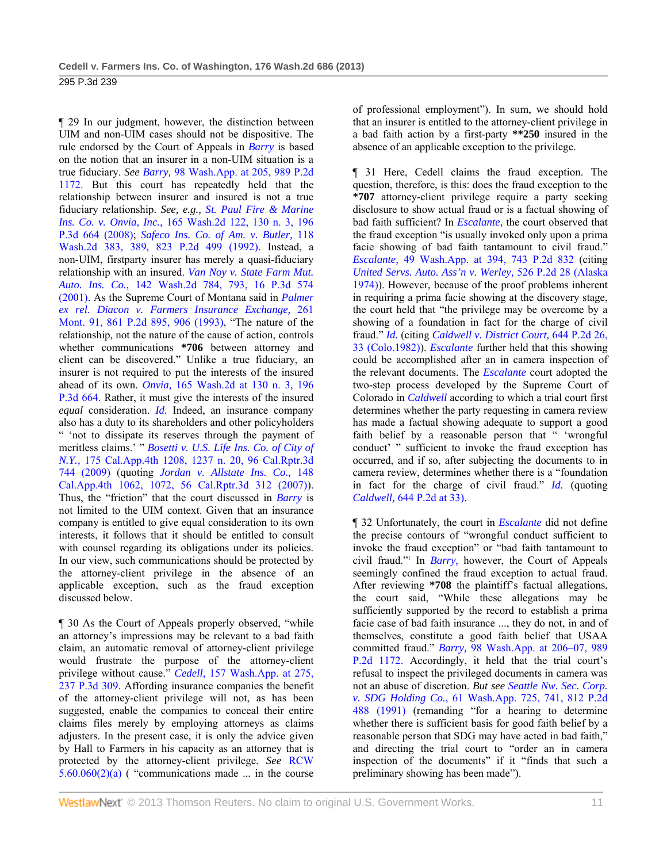¶ 29 In our judgment, however, the distinction between UIM and non-UIM cases should not be dispositive. The rule endorsed by the Court of Appeals in *Barry* is based on the notion that an insurer in a non-UIM situation is a true fiduciary. *See Barry,* 98 Wash.App. at 205, 989 P.2d 1172. But this court has repeatedly held that the relationship between insurer and insured is not a true fiduciary relationship. *See, e.g., St. Paul Fire & Marine Ins. Co. v. Onvia, Inc.,* 165 Wash.2d 122, 130 n. 3, 196 P.3d 664 (2008); *Safeco Ins. Co. of Am. v. Butler,* 118 Wash.2d 383, 389, 823 P.2d 499 (1992). Instead, a non-UIM, firstparty insurer has merely a quasi-fiduciary relationship with an insured. *Van Noy v. State Farm Mut. Auto. Ins. Co.,* 142 Wash.2d 784, 793, 16 P.3d 574 (2001). As the Supreme Court of Montana said in *Palmer ex rel. Diacon v. Farmers Insurance Exchange,* 261 Mont. 91, 861 P.2d 895, 906 (1993), "The nature of the relationship, not the nature of the cause of action, controls whether communications **\*706** between attorney and client can be discovered." Unlike a true fiduciary, an insurer is not required to put the interests of the insured ahead of its own. *Onvia,* 165 Wash.2d at 130 n. 3, 196 P.3d 664. Rather, it must give the interests of the insured *equal* consideration. *Id.* Indeed, an insurance company also has a duty to its shareholders and other policyholders " 'not to dissipate its reserves through the payment of meritless claims.' " *Bosetti v. U.S. Life Ins. Co. of City of N.Y.,* 175 Cal.App.4th 1208, 1237 n. 20, 96 Cal.Rptr.3d 744 (2009) (quoting *Jordan v. Allstate Ins. Co.,* 148 Cal.App.4th 1062, 1072, 56 Cal.Rptr.3d 312 (2007)). Thus, the "friction" that the court discussed in *Barry* is not limited to the UIM context. Given that an insurance company is entitled to give equal consideration to its own interests, it follows that it should be entitled to consult with counsel regarding its obligations under its policies. In our view, such communications should be protected by the attorney-client privilege in the absence of an applicable exception, such as the fraud exception discussed below.

¶ 30 As the Court of Appeals properly observed, "while an attorney's impressions may be relevant to a bad faith claim, an automatic removal of attorney-client privilege would frustrate the purpose of the attorney-client privilege without cause." *Cedell,* 157 Wash.App. at 275, 237 P.3d 309. Affording insurance companies the benefit of the attorney-client privilege will not, as has been suggested, enable the companies to conceal their entire claims files merely by employing attorneys as claims adjusters. In the present case, it is only the advice given by Hall to Farmers in his capacity as an attorney that is protected by the attorney-client privilege. *See* RCW  $5.60.060(2)(a)$  ( "communications made ... in the course

of professional employment"). In sum, we should hold that an insurer is entitled to the attorney-client privilege in a bad faith action by a first-party **\*\*250** insured in the absence of an applicable exception to the privilege.

¶ 31 Here, Cedell claims the fraud exception. The question, therefore, is this: does the fraud exception to the **\*707** attorney-client privilege require a party seeking disclosure to show actual fraud or is a factual showing of bad faith sufficient? In *Escalante,* the court observed that the fraud exception "is usually invoked only upon a prima facie showing of bad faith tantamount to civil fraud." *Escalante,* 49 Wash.App. at 394, 743 P.2d 832 (citing *United Servs. Auto. Ass'n v. Werley,* 526 P.2d 28 (Alaska 1974)). However, because of the proof problems inherent in requiring a prima facie showing at the discovery stage, the court held that "the privilege may be overcome by a showing of a foundation in fact for the charge of civil fraud." *Id.* (citing *Caldwell v. District Court,* 644 P.2d 26, 33 (Colo.1982)). *Escalante* further held that this showing could be accomplished after an in camera inspection of the relevant documents. The *Escalante* court adopted the two-step process developed by the Supreme Court of Colorado in *Caldwell* according to which a trial court first determines whether the party requesting in camera review has made a factual showing adequate to support a good faith belief by a reasonable person that " 'wrongful conduct' " sufficient to invoke the fraud exception has occurred, and if so, after subjecting the documents to in camera review, determines whether there is a "foundation in fact for the charge of civil fraud." *Id.* (quoting *Caldwell,* 644 P.2d at 33).

¶ 32 Unfortunately, the court in *Escalante* did not define the precise contours of "wrongful conduct sufficient to invoke the fraud exception" or "bad faith tantamount to civil fraud."1 In *Barry,* however, the Court of Appeals seemingly confined the fraud exception to actual fraud. After reviewing **\*708** the plaintiff's factual allegations, the court said, "While these allegations may be sufficiently supported by the record to establish a prima facie case of bad faith insurance ..., they do not, in and of themselves, constitute a good faith belief that USAA committed fraud." *Barry,* 98 Wash.App. at 206–07, 989 P.2d 1172. Accordingly, it held that the trial court's refusal to inspect the privileged documents in camera was not an abuse of discretion. *But see Seattle Nw. Sec. Corp. v. SDG Holding Co.,* 61 Wash.App. 725, 741, 812 P.2d 488 (1991) (remanding "for a hearing to determine whether there is sufficient basis for good faith belief by a reasonable person that SDG may have acted in bad faith," and directing the trial court to "order an in camera inspection of the documents" if it "finds that such a preliminary showing has been made").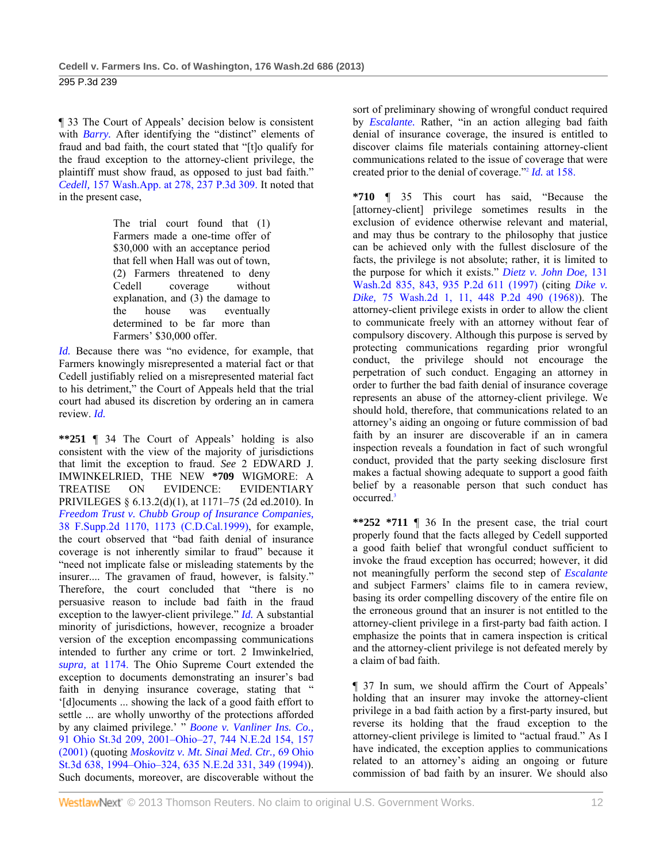¶ 33 The Court of Appeals' decision below is consistent with *Barry*. After identifying the "distinct" elements of fraud and bad faith, the court stated that "[t]o qualify for the fraud exception to the attorney-client privilege, the plaintiff must show fraud, as opposed to just bad faith." *Cedell,* 157 Wash.App. at 278, 237 P.3d 309. It noted that in the present case,

> The trial court found that (1) Farmers made a one-time offer of \$30,000 with an acceptance period that fell when Hall was out of town, (2) Farmers threatened to deny Cedell coverage without explanation, and (3) the damage to the house was eventually determined to be far more than Farmers' \$30,000 offer.

*Id.* Because there was "no evidence, for example, that Farmers knowingly misrepresented a material fact or that Cedell justifiably relied on a misrepresented material fact to his detriment," the Court of Appeals held that the trial court had abused its discretion by ordering an in camera review. *Id.*

**\*\*251** ¶ 34 The Court of Appeals' holding is also consistent with the view of the majority of jurisdictions that limit the exception to fraud. *See* 2 EDWARD J. IMWINKELRIED, THE NEW **\*709** WIGMORE: A TREATISE ON EVIDENCE: EVIDENTIARY PRIVILEGES § 6.13.2(d)(1), at 1171–75 (2d ed.2010). In *Freedom Trust v. Chubb Group of Insurance Companies,* 38 F.Supp.2d 1170, 1173 (C.D.Cal.1999), for example, the court observed that "bad faith denial of insurance coverage is not inherently similar to fraud" because it "need not implicate false or misleading statements by the insurer.... The gravamen of fraud, however, is falsity." Therefore, the court concluded that "there is no persuasive reason to include bad faith in the fraud exception to the lawyer-client privilege." *Id.* A substantial minority of jurisdictions, however, recognize a broader version of the exception encompassing communications intended to further any crime or tort. 2 Imwinkelried, *supra,* at 1174. The Ohio Supreme Court extended the exception to documents demonstrating an insurer's bad faith in denying insurance coverage, stating that " '[d]ocuments ... showing the lack of a good faith effort to settle ... are wholly unworthy of the protections afforded by any claimed privilege.' " *Boone v. Vanliner Ins. Co.,* 91 Ohio St.3d 209, 2001–Ohio–27, 744 N.E.2d 154, 157 (2001) (quoting *Moskovitz v. Mt. Sinai Med. Ctr.,* 69 Ohio St.3d 638, 1994–Ohio–324, 635 N.E.2d 331, 349 (1994)). Such documents, moreover, are discoverable without the

sort of preliminary showing of wrongful conduct required by *Escalante.* Rather, "in an action alleging bad faith denial of insurance coverage, the insured is entitled to discover claims file materials containing attorney-client communications related to the issue of coverage that were created prior to the denial of coverage."2 *Id.* at 158.

**\*710** ¶ 35 This court has said, "Because the [attorney-client] privilege sometimes results in the exclusion of evidence otherwise relevant and material, and may thus be contrary to the philosophy that justice can be achieved only with the fullest disclosure of the facts, the privilege is not absolute; rather, it is limited to the purpose for which it exists." *Dietz v. John Doe,* 131 Wash.2d 835, 843, 935 P.2d 611 (1997) (citing *Dike v. Dike,* 75 Wash.2d 1, 11, 448 P.2d 490 (1968)). The attorney-client privilege exists in order to allow the client to communicate freely with an attorney without fear of compulsory discovery. Although this purpose is served by protecting communications regarding prior wrongful conduct, the privilege should not encourage the perpetration of such conduct. Engaging an attorney in order to further the bad faith denial of insurance coverage represents an abuse of the attorney-client privilege. We should hold, therefore, that communications related to an attorney's aiding an ongoing or future commission of bad faith by an insurer are discoverable if an in camera inspection reveals a foundation in fact of such wrongful conduct, provided that the party seeking disclosure first makes a factual showing adequate to support a good faith belief by a reasonable person that such conduct has occurred.3

**\*\*252 \*711** ¶ 36 In the present case, the trial court properly found that the facts alleged by Cedell supported a good faith belief that wrongful conduct sufficient to invoke the fraud exception has occurred; however, it did not meaningfully perform the second step of *Escalante* and subject Farmers' claims file to in camera review, basing its order compelling discovery of the entire file on the erroneous ground that an insurer is not entitled to the attorney-client privilege in a first-party bad faith action. I emphasize the points that in camera inspection is critical and the attorney-client privilege is not defeated merely by a claim of bad faith.

¶ 37 In sum, we should affirm the Court of Appeals' holding that an insurer may invoke the attorney-client privilege in a bad faith action by a first-party insured, but reverse its holding that the fraud exception to the attorney-client privilege is limited to "actual fraud." As I have indicated, the exception applies to communications related to an attorney's aiding an ongoing or future commission of bad faith by an insurer. We should also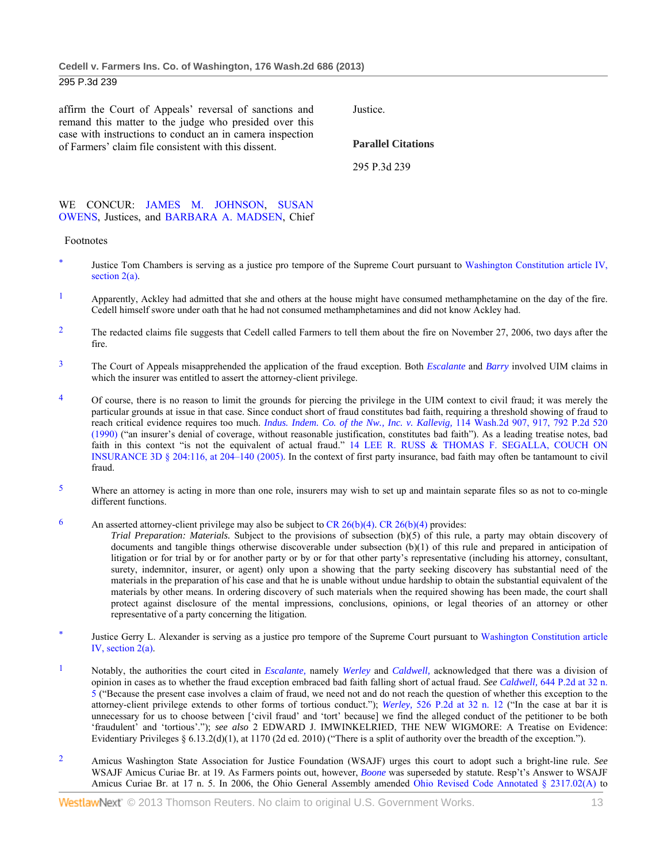affirm the Court of Appeals' reversal of sanctions and remand this matter to the judge who presided over this case with instructions to conduct an in camera inspection of Farmers' claim file consistent with this dissent.

Justice.

**Parallel Citations** 

295 P.3d 239

#### WE CONCUR: JAMES M. JOHNSON, SUSAN OWENS, Justices, and BARBARA A. MADSEN, Chief

#### Footnotes

- Justice Tom Chambers is serving as a justice pro tempore of the Supreme Court pursuant to Washington Constitution article IV, section 2(a).
- $1$  Apparently, Ackley had admitted that she and others at the house might have consumed methamphetamine on the day of the fire. Cedell himself swore under oath that he had not consumed methamphetamines and did not know Ackley had.
- <sup>2</sup> The redacted claims file suggests that Cedell called Farmers to tell them about the fire on November 27, 2006, two days after the fire.
- 3 The Court of Appeals misapprehended the application of the fraud exception. Both *Escalante* and *Barry* involved UIM claims in which the insurer was entitled to assert the attorney-client privilege.
- <sup>4</sup> Of course, there is no reason to limit the grounds for piercing the privilege in the UIM context to civil fraud; it was merely the particular grounds at issue in that case. Since conduct short of fraud constitutes bad faith, requiring a threshold showing of fraud to reach critical evidence requires too much. *Indus. Indem. Co. of the Nw., Inc. v. Kallevig,* 114 Wash.2d 907, 917, 792 P.2d 520 (1990) ("an insurer's denial of coverage, without reasonable justification, constitutes bad faith"). As a leading treatise notes, bad faith in this context "is not the equivalent of actual fraud." 14 LEE R. RUSS & THOMAS F. SEGALLA, COUCH ON INSURANCE 3D § 204:116, at 204–140 (2005). In the context of first party insurance, bad faith may often be tantamount to civil fraud.
- <sup>5</sup> Where an attorney is acting in more than one role, insurers may wish to set up and maintain separate files so as not to co-mingle different functions.
- 6 An asserted attorney-client privilege may also be subject to CR 26(b)(4). CR 26(b)(4) provides:

*Trial Preparation: Materials.* Subject to the provisions of subsection (b)(5) of this rule, a party may obtain discovery of documents and tangible things otherwise discoverable under subsection (b)(1) of this rule and prepared in anticipation of litigation or for trial by or for another party or by or for that other party's representative (including his attorney, consultant, surety, indemnitor, insurer, or agent) only upon a showing that the party seeking discovery has substantial need of the materials in the preparation of his case and that he is unable without undue hardship to obtain the substantial equivalent of the materials by other means. In ordering discovery of such materials when the required showing has been made, the court shall protect against disclosure of the mental impressions, conclusions, opinions, or legal theories of an attorney or other representative of a party concerning the litigation.

- Justice Gerry L. Alexander is serving as a justice pro tempore of the Supreme Court pursuant to Washington Constitution article IV, section 2(a).
- 1 Notably, the authorities the court cited in *Escalante,* namely *Werley* and *Caldwell,* acknowledged that there was a division of opinion in cases as to whether the fraud exception embraced bad faith falling short of actual fraud. *See Caldwell,* 644 P.2d at 32 n. 5 ("Because the present case involves a claim of fraud, we need not and do not reach the question of whether this exception to the attorney-client privilege extends to other forms of tortious conduct."); *Werley,* 526 P.2d at 32 n. 12 ("In the case at bar it is unnecessary for us to choose between ['civil fraud' and 'tort' because] we find the alleged conduct of the petitioner to be both 'fraudulent' and 'tortious'."); *see also* 2 EDWARD J. IMWINKELRIED, THE NEW WIGMORE: A Treatise on Evidence: Evidentiary Privileges § 6.13.2(d)(1), at 1170 (2d ed. 2010) ("There is a split of authority over the breadth of the exception.").
- 2 Amicus Washington State Association for Justice Foundation (WSAJF) urges this court to adopt such a bright-line rule. *See* WSAJF Amicus Curiae Br. at 19. As Farmers points out, however, *Boone* was superseded by statute. Resp't's Answer to WSAJF Amicus Curiae Br. at 17 n. 5. In 2006, the Ohio General Assembly amended Ohio Revised Code Annotated § 2317.02(A) to